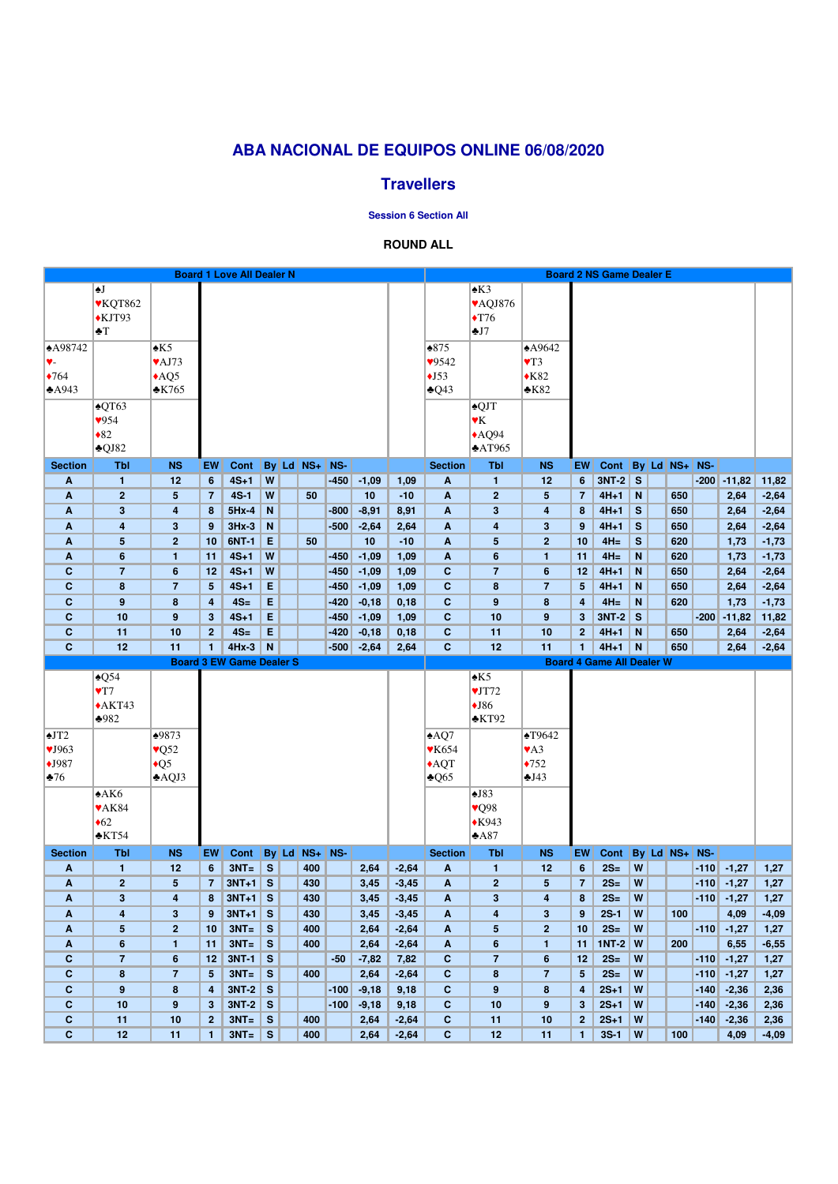|                              |                           |                           |                         | <b>Board 1 Love All Dealer N</b> |                              |               |        |              |                    |                              |                     |                         |                    | <b>Board 2 NS Game Dealer E</b>  |              |               |        |                 |                 |
|------------------------------|---------------------------|---------------------------|-------------------------|----------------------------------|------------------------------|---------------|--------|--------------|--------------------|------------------------------|---------------------|-------------------------|--------------------|----------------------------------|--------------|---------------|--------|-----------------|-----------------|
|                              | ♠J                        |                           |                         |                                  |                              |               |        |              |                    |                              | $\triangle K3$      |                         |                    |                                  |              |               |        |                 |                 |
|                              | <b>VKQT862</b>            |                           |                         |                                  |                              |               |        |              |                    |                              | VAQJ876             |                         |                    |                                  |              |               |        |                 |                 |
|                              | $\blacktriangle$ KJT93    |                           |                         |                                  |                              |               |        |              |                    |                              | $\blacklozenge$ T76 |                         |                    |                                  |              |               |        |                 |                 |
|                              | $\blacktriangleright$ T   |                           |                         |                                  |                              |               |        |              |                    |                              | J7                  |                         |                    |                                  |              |               |        |                 |                 |
| <b>A98742</b>                |                           | $\triangle$ K5            |                         |                                  |                              |               |        |              |                    | $\triangle 875$              |                     | A9642                   |                    |                                  |              |               |        |                 |                 |
| V-                           |                           | $\blacktriangledown$ AJ73 |                         |                                  |                              |               |        |              |                    | 9542                         |                     | $\blacktriangledown$    |                    |                                  |              |               |        |                 |                 |
|                              |                           |                           |                         |                                  |                              |               |        |              |                    |                              |                     |                         |                    |                                  |              |               |        |                 |                 |
| $\blacklozenge$ 764          |                           | $\triangle AQ5$           |                         |                                  |                              |               |        |              |                    | $\triangle$ J53              |                     | $\bigstar$ K82          |                    |                                  |              |               |        |                 |                 |
| A943                         |                           | $\cdot$ K765              |                         |                                  |                              |               |        |              |                    | $*Q43$                       |                     | $\triangle$ K82         |                    |                                  |              |               |        |                 |                 |
|                              | $\triangle$ QT63          |                           |                         |                                  |                              |               |        |              |                    |                              | $\triangle$ QJT     |                         |                    |                                  |              |               |        |                 |                 |
|                              | $\sqrt{954}$              |                           |                         |                                  |                              |               |        |              |                    |                              | $\mathbf{Y}$ K      |                         |                    |                                  |              |               |        |                 |                 |
|                              | $\bullet 82$              |                           |                         |                                  |                              |               |        |              |                    |                              | $*AQ94$             |                         |                    |                                  |              |               |        |                 |                 |
|                              | $\triangle$ QJ82          |                           |                         |                                  |                              |               |        |              |                    |                              | $*AT965$            |                         |                    |                                  |              |               |        |                 |                 |
| <b>Section</b>               | <b>Tbl</b>                | <b>NS</b>                 | <b>EW</b>               | Cont                             |                              | By Ld NS+     | NS-    |              |                    | <b>Section</b>               | <b>Tbl</b>          | <b>NS</b>               | EW                 | <b>Cont</b>                      |              | By Ld NS+ NS- |        |                 |                 |
| A                            | 1                         | 12                        | 6                       | $4S+1$                           | W                            |               | $-450$ | $-1,09$      | 1,09               | $\boldsymbol{A}$             | $\mathbf{1}$        | 12                      | $6\phantom{1}$     | $3NT-2$                          | $\mathbf{s}$ |               | $-200$ | $-11,82$        | 11,82           |
| A                            | $\mathbf{2}$              | 5                         | $\overline{7}$          | $4S-1$                           | W                            | 50            |        | 10           | $-10$              | $\mathbf{A}$                 | $\overline{2}$      | $5\phantom{.0}$         | 7                  | $4H+1$                           | N            | 650           |        | 2,64            | $-2,64$         |
| A                            | $\mathbf{3}$              | 4                         | 8                       | $5Hx-4$                          | N                            |               | $-800$ | $-8,91$      | 8,91               | $\boldsymbol{A}$             | $\mathbf{3}$        | $\overline{\mathbf{4}}$ | 8                  | $4H+1$                           | S            | 650           |        | 2,64            | $-2,64$         |
| A                            | 4                         | 3                         | 9                       | $3Hx-3$                          | N                            |               | $-500$ | $-2,64$      | 2,64               | $\mathbf{A}$                 | 4                   | $\mathbf{3}$            | 9                  | $4H+1$                           | $\mathbf{s}$ | 650           |        | 2,64            | $-2,64$         |
| A                            | $\overline{\mathbf{5}}$   | $\overline{2}$            | 10                      | 6NT-1                            | E                            | 50            |        | 10           | $-10$              | $\boldsymbol{A}$             | $5\phantom{.0}$     | 2 <sup>2</sup>          | 10                 | $4H=$                            | S            | 620           |        | 1,73            | $-1,73$         |
| A                            | $6\phantom{1}$            | 1.                        | 11                      | $4S+1$                           | W                            |               | $-450$ | $-1,09$      | 1,09               | $\mathbf{A}$                 | $6\phantom{1}$      | $\mathbf{1}$            | 11                 | $4H =$                           | N            | 620           |        | 1,73            | $-1,73$         |
| $\mathbf c$                  | $\overline{7}$            | 6                         | 12                      | $4S+1$                           | W                            |               | $-450$ | $-1,09$      | 1,09               | $\mathbf{C}$                 | $\overline{7}$      | $6\phantom{1}6$         | 12                 | $4H+1$                           | N            | 650           |        | 2,64            | $-2,64$         |
| $\mathbf{C}$                 | 8                         | $\overline{7}$            | 5                       | $4S+1$                           | Е                            |               | $-450$ | $-1,09$      | 1,09               | $\mathbf{C}$                 | 8                   | $\overline{7}$          | 5                  | $4H+1$                           | N            | 650           |        | 2,64            | $-2,64$         |
| $\mathbf{C}$                 | $\boldsymbol{9}$          | 8                         | $\overline{\mathbf{4}}$ | $4S=$                            | E                            |               | $-420$ | $-0,18$      | 0,18               | $\mathbf{C}$                 | $\boldsymbol{9}$    | ${\bf 8}$               | 4                  | $4H =$                           | N            | 620           |        | 1,73            | $-1,73$         |
| $\mathbf{C}$                 | 10                        | 9                         | 3 <sup>2</sup>          | $4S+1$                           | E                            |               | $-450$ | $-1,09$      | 1,09               | $\mathbf{C}$                 | 10                  | 9                       | $\mathbf{3}$       | $3NT-2$                          | $\mathbf{s}$ |               | $-200$ | $-11,82$        | 11,82           |
| $\mathbf{C}$                 | 11                        | 10                        | 2 <sup>2</sup>          | $4S=$                            | E                            |               | $-420$ | $-0,18$      | 0,18               | $\mathbf{C}$                 | 11                  | 10                      | $\mathbf{2}$       | $4H+1$                           | N            | 650           |        | 2,64            | $-2,64$         |
| $\mathbf{C}$                 | 12                        | 11                        | 1 <sup>1</sup>          | $4Hx-3$ N                        |                              |               | $-500$ | $-2,64$      | 2,64               | $\mathbf{C}$                 | 12                  | 11                      | 1                  | $4H+1$                           | N            | 650           |        | 2,64            | $-2,64$         |
|                              |                           |                           |                         |                                  |                              |               |        |              |                    |                              |                     |                         |                    |                                  |              |               |        |                 |                 |
|                              |                           |                           |                         |                                  |                              |               |        |              |                    |                              |                     |                         |                    |                                  |              |               |        |                 |                 |
|                              |                           |                           |                         | <b>Board 3 EW Game Dealer S</b>  |                              |               |        |              |                    |                              |                     |                         |                    | <b>Board 4 Game All Dealer W</b> |              |               |        |                 |                 |
|                              | $\triangle Q$ 54          |                           |                         |                                  |                              |               |        |              |                    |                              | $\triangle$ K5      |                         |                    |                                  |              |               |        |                 |                 |
|                              | $\blacktriangledown$      |                           |                         |                                  |                              |               |        |              |                    |                              | VIT72               |                         |                    |                                  |              |               |        |                 |                 |
|                              | $\triangle$ AKT43         |                           |                         |                                  |                              |               |        |              |                    |                              | $\blacklozenge$ J86 |                         |                    |                                  |              |               |        |                 |                 |
|                              | $\bigstar 982$            |                           |                         |                                  |                              |               |        |              |                    |                              | $\triangle$ KT92    |                         |                    |                                  |              |               |        |                 |                 |
| $\triangle$ JT2              |                           | 19873                     |                         |                                  |                              |               |        |              |                    | $\triangle$ AQ7              |                     | $\blacktriangle$ T9642  |                    |                                  |              |               |        |                 |                 |
| VJ963                        |                           | $\sqrt{Q52}$              |                         |                                  |                              |               |        |              |                    | <b>▼K654</b>                 |                     | $\blacktriangledown$ A3 |                    |                                  |              |               |        |                 |                 |
| $\bigstar$ J987              |                           | $\triangle$ Q5            |                         |                                  |                              |               |        |              |                    | $\triangle$ AQT              |                     | $\bigstar 752$          |                    |                                  |              |               |        |                 |                 |
| $\clubsuit 76$               |                           | $\triangle$ AQJ3          |                         |                                  |                              |               |        |              |                    | $\triangle$ Q65              |                     | $\triangle$ J43         |                    |                                  |              |               |        |                 |                 |
|                              | A K6                      |                           |                         |                                  |                              |               |        |              |                    |                              | $\triangle$ J83     |                         |                    |                                  |              |               |        |                 |                 |
|                              | $\blacktriangledown$ AK84 |                           |                         |                                  |                              |               |        |              |                    |                              | $\sqrt{Q}98$        |                         |                    |                                  |              |               |        |                 |                 |
|                              | $\triangleleft 62$        |                           |                         |                                  |                              |               |        |              |                    |                              | $*K943$             |                         |                    |                                  |              |               |        |                 |                 |
|                              | $\triangle$ KT54          |                           |                         |                                  |                              |               |        |              |                    |                              | $*A87$              |                         |                    |                                  |              |               |        |                 |                 |
| <b>Section</b>               | <b>Tbl</b>                | <b>NS</b>                 | <b>EW</b>               | Cont                             |                              | $By$ Ld $NS+$ | NS-    |              |                    | <b>Section</b>               | <b>Tbl</b>          | <b>NS</b>               | EW                 | <b>Cont</b>                      |              | By Ld NS+     | NS-    |                 |                 |
| A                            | $\mathbf{1}$              | 12                        | $6\phantom{1}$          | $3NT =$                          | S                            | 400           |        | 2,64         | $-2,64$            | $\mathbf{A}$                 | $\mathbf{1}$        | 12                      | $6\phantom{1}$     | $2S=$                            | W            |               | $-110$ | $-1,27$         | 1,27            |
| A                            | $\mathbf{2}$              | 5                         | $\overline{7}$          | $3NT+1$ S                        |                              | 430           |        | 3,45         | $-3,45$            | $\mathbf{A}$                 | $\overline{2}$      | $5\overline{)}$         | 7                  | $2S=$                            | W            |               | $-110$ | $-1,27$         | 1,27            |
| A                            | 3                         | 4                         | 8                       | $3NT+1$ S                        |                              | 430           |        | 3,45         | $-3,45$            | $\boldsymbol{A}$             | $\mathbf{3}$        | 4                       | 8                  | $2S=$                            | W            |               | $-110$ | $-1,27$         | 1,27            |
| A                            | 4                         | 3                         | 9                       | $3NT+1$ S                        |                              | 430           |        | 3,45         | $-3,45$            | $\mathbf{A}$                 | 4                   | $\mathbf{3}$            | 9                  | $2S-1$                           | W            | 100           |        | 4,09            | $-4,09$         |
| A                            | 5                         | $\overline{2}$            | 10                      | $3NT =$                          | $\parallel$ S                | 400           |        | 2,64         | $-2,64$            | $\boldsymbol{A}$             | $5\phantom{1}$      | 2 <sup>2</sup>          | 10                 | $2S=$                            | W            |               | $-110$ | $-1,27$         | 1,27            |
| A                            | $6\phantom{1}$            | 1.                        | 11                      | $3NT =$                          | $\mathbf{s}$                 | 400           |        | 2,64         | $-2,64$            | $\mathbf{A}$                 | $6\phantom{a}$      | $\mathbf{1}$            | 11                 | <b>1NT-2</b>                     | W            | 200           |        | 6,55            | $-6,55$         |
| $\mathbf c$                  | $\overline{7}$            | 6                         | 12                      | $3NT-1$                          | S                            |               | $-50$  | $-7,82$      | 7,82               | $\mathbf{C}$                 | $\overline{7}$      | $6\phantom{1}6$         | 12                 | $2S=$                            | W            |               | $-110$ | $-1,27$         | 1,27            |
| $\mathbf{C}$                 | 8                         | $\overline{7}$            | 5                       | $3NT =$                          | $\mathbf{s}$                 | 400           |        | 2,64         | $-2,64$            | $\mathbf{C}$                 | 8                   | $\overline{7}$          | 5 <sup>5</sup>     | $2S=$                            | W            |               | $-110$ | $-1,27$         | 1,27            |
| $\mathbf{C}$                 | $\boldsymbol{9}$          | 8                         | 4                       | $3NT-2$                          | S                            |               | $-100$ | $-9,18$      | 9,18               | $\mathbf{C}$                 | 9                   | 8                       | 4                  | $2S+1$                           | W            |               | $-140$ | $-2,36$         | 2,36            |
| $\mathbf{C}$                 | 10                        | 9                         | 3 <sup>2</sup>          | $3NT-2$                          | S                            |               | $-100$ | $-9,18$      | 9,18               | $\mathbf{C}$                 | 10                  | 9                       | $\mathbf{3}$       | $2S+1$                           | W            |               | $-140$ | $-2,36$         | 2,36            |
| $\mathbf{C}$<br>$\mathbf{C}$ | 11<br>12                  | 10<br>11                  | 2 <sup>2</sup><br>1.    | $3NT =$<br>$3NT =$               | $\mathbf{s}$<br>$\mathbf{s}$ | 400<br>400    |        | 2,64<br>2,64 | $-2,64$<br>$-2,64$ | $\mathbf{C}$<br>$\mathbf{C}$ | 11<br>12            | 10<br>11                | $\mathbf{2}$<br>1. | $2S+1$<br>$3S-1$                 | W<br>W       | 100           | $-140$ | $-2,36$<br>4,09 | 2,36<br>$-4,09$ |

# **ABA NACIONAL DE EQUIPOS ONLINE 06/08/2020**

## **Travellers**

**Session 6 Section All**

### **ROUND ALL**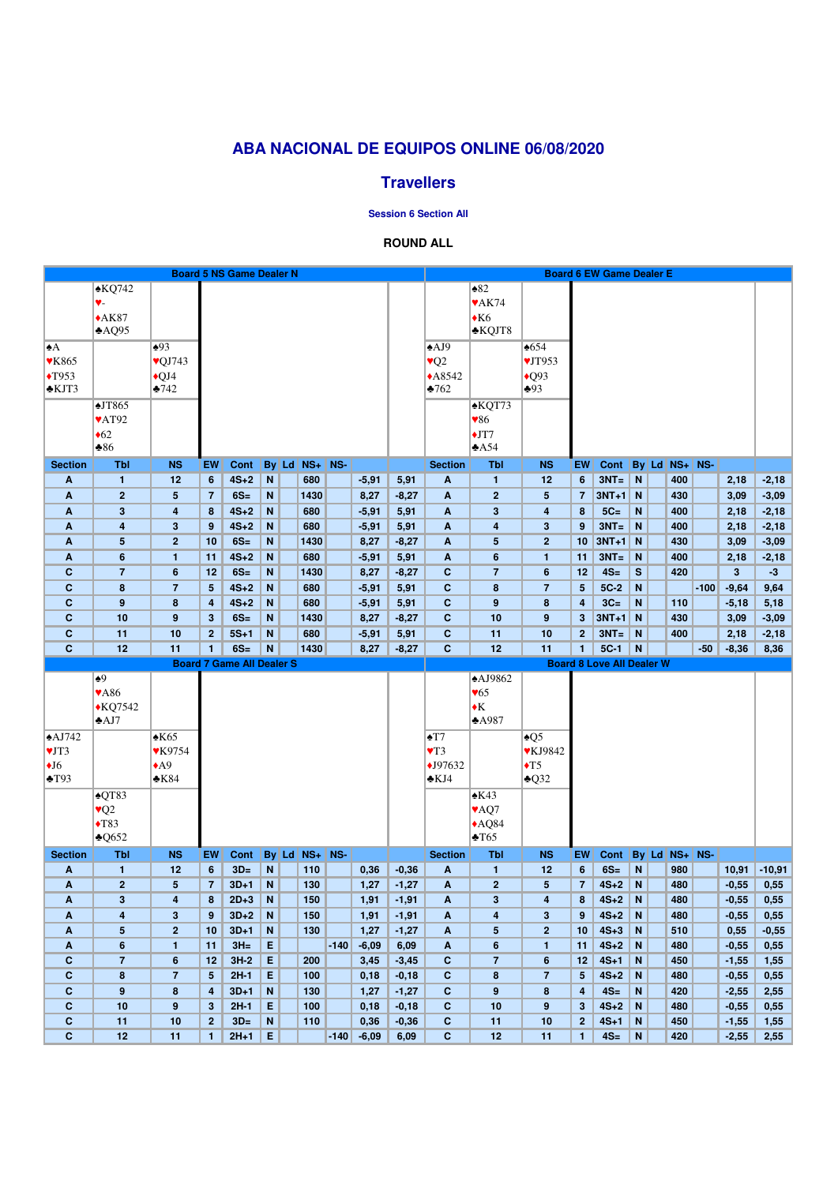# **ABA NACIONAL DE EQUIPOS ONLINE 06/08/2020**

## **Travellers**

#### **Session 6 Section All**

### **ROUND ALL**

| $\triangle KQ742$<br>$\triangle 82$<br>$\blacktriangledown$ AK74<br>♥-<br>$*AK87$<br>$\triangle$ K6<br>*KQJT8<br>AQQ95<br>$\triangle 93$<br>$\triangle$ AJ9<br>•654<br>$\blacktriangle$<br>VJT953<br>$\sqrt{Q}J743$<br>$\sqrt{Q^2}$<br><b>VK865</b><br>$*A8542$<br>$\triangle$ Q93<br>$\blacktriangleright$ T953<br>$\bigcirc$ QJ4<br>$\clubsuit$ 93<br>$*KJT3$<br>$\triangle 742$<br>$\blacktriangleright$ 762<br>$\triangle J T865$<br><b>∗KQT73</b><br>$\sqrt{86}$<br>$\blacktriangledown$ AT92<br>$\triangleleft 62$<br>$\bigstar$ JT7<br>$*86$<br>A54<br><b>Tbl</b><br>By Ld NS+<br>NS-<br><b>Section</b><br>By Ld NS+ NS-<br><b>Section</b><br><b>NS</b><br><b>EW</b><br>Cont<br><b>Tbl</b><br><b>NS</b><br>EW<br>Cont<br>$4S+2$<br>$3NT =$<br>N<br>680<br>$-5,91$<br>N<br>400<br>$-2,18$<br>12<br>$6\phantom{1}$<br>5,91<br>$\boldsymbol{A}$<br>$\mathbf{1}$<br>12<br>6<br>2,18<br>$\mathbf{1}$<br>A<br>2 <sup>2</sup><br>$6S=$<br>N<br>$\overline{2}$<br>$3NT+1$<br>N<br>$5\phantom{.0}$<br>1430<br>8,27<br>$-8,27$<br>$\mathbf{A}$<br>$5\phantom{.0}$<br>430<br>3,09<br>$-3,09$<br>A<br>$\overline{7}$<br>$\overline{7}$<br>$\mathbf{3}$<br>$4S+2$<br>$\mathbf N$<br>680<br>$\boldsymbol{A}$<br>$\mathbf{3}$<br>$5C=$<br>N<br>$-2,18$<br>4<br>8<br>$-5,91$<br>5,91<br>4<br>8<br>400<br>2,18<br>A<br>$3NT =$<br>$\overline{\mathbf{4}}$<br>3<br>$4S+2$<br>$\mathbf N$<br>680<br>$\overline{\mathbf{4}}$<br>N<br>9<br>$-5,91$<br>5,91<br>$\mathbf{A}$<br>3<br>9<br>400<br>2,18<br>$-2,18$<br>A<br>3NT+1 N<br>$\overline{\mathbf{5}}$<br>$\overline{2}$<br>$6S=$<br>$\mathbf N$<br>$5\phantom{.0}$<br>$\overline{2}$<br>$-3,09$<br>10<br>1430<br>8,27<br>$-8,27$<br>$\mathbf{A}$<br>10 <sub>1</sub><br>430<br>3,09<br>A<br>$4S+2$<br>680<br>$3NT =$<br>$6\phantom{1}$<br>N<br>$-5,91$<br>5,91<br>$\boldsymbol{A}$<br>$6\phantom{a}$<br>N<br>400<br>$-2,18$<br>1<br>11<br>$\mathbf{1}$<br>11<br>2,18<br>A<br>$4S=$<br>$\mathbf c$<br>$\overline{7}$<br>$6S=$<br>N<br>1430<br>$-8,27$<br>$\mathbf{C}$<br>$\overline{7}$<br>$\mathbf{s}$<br>420<br>3 <sup>5</sup><br>$-3$<br>$6\phantom{1}6$<br>12<br>8,27<br>$6\phantom{1}$<br>12<br>$4S+2$<br>N<br>680<br>$\mathbf{C}$<br>$5C-2$<br>N<br>$-100$<br>$-9,64$<br>9,64<br>$\mathbf c$<br>$\boldsymbol{8}$<br>$\overline{7}$<br>5 <sup>5</sup><br>$-5,91$<br>5,91<br>8<br>$\overline{7}$<br>$5\phantom{.0}$<br>$3C=$<br>$\mathbf{C}$<br>9<br>$4S+2$<br>$\mathbf N$<br>680<br>$\mathbf{C}$<br>9<br>N<br>$-5,18$<br>5,18<br>8<br>$-5,91$<br>5,91<br>8<br>4<br>110<br>4<br>$\mathbf{C}$<br>$\mathbf{C}$<br>10<br>9<br>$6S=$<br>N<br>10<br>$3NT+1$<br>$-3,09$<br>3 <sup>2</sup><br>1430<br>8,27<br>$-8,27$<br>9<br>3<br>$\mathbf N$<br>430<br>3,09<br>$3NT =$<br>10<br>N<br>680<br>$-5,91$<br>$\mathbf{C}$<br>10<br>N<br>2,18<br>$-2,18$<br>$\mathbf c$<br>11<br>2 <sup>1</sup><br>$5S+1$<br>5,91<br>11<br>2 <sup>1</sup><br>400<br>11<br>$5C-1$<br>$\mathbf c$<br>12<br>11<br>$\mathbf{1}$<br>$6S=$<br>$\mathbf N$<br>1430<br>$-8,27$<br>$\mathbf{C}$<br>12<br>N<br>$-8,36$<br>8,36<br>8,27<br>$\blacksquare$<br>$-50$<br><b>Board 7 Game All Dealer S</b><br><b>Board 8 Love All Dealer W</b><br>$\triangle$ AJ9862<br>$\overline{\bullet^9}$<br><b>VA86</b><br>$\blacktriangledown 65$<br>$\blacklozenge K$<br>$\bigstar$ KQ7542<br>AJ7<br>$*$ A987<br>$\triangle$ K65<br>$\triangle$ AJ742<br>$\blacktriangle$ T7<br>$\triangle Q5$<br>$\blacktriangledown$ T3<br><b>▼KJ9842</b><br>VJT3<br><b>VK9754</b><br>$\bigstar$ J97632<br>$\blacklozenge$ T5<br>$\triangle$ A9<br>$\bigcup$<br>$\triangle$ Q32<br>$\blacktriangle$ T93<br>$\triangle$ K84<br>$\triangle$ KJ4<br>$\triangle$ QT83<br>$\triangle$ K43<br>$\sqrt{Q^2}$<br>♥AQ7<br>$\blacklozenge$ T83<br>$*AQ84$<br>$\triangle$ T65<br>$\triangle Q652$<br>$NS+$<br>NS-<br>By Ld NS+<br>NS-<br><b>Tbl</b><br><b>NS</b><br>EW<br><b>Cont</b><br>By Ld <br><b>Section</b><br><b>Tbl</b><br><b>NS</b><br>EW<br>Cont<br><b>Section</b><br>$-10,91$<br>$3D=$<br>$\mathbf N$<br>$6S =$<br>N<br>980<br>10,91<br>12<br>$6\phantom{1}$<br>110<br>0,36<br>$\mathbf{A}$<br>6<br>$\mathbf{1}$<br>$-0,36$<br>$\mathbf{1}$<br>12<br>A<br>$\overline{2}$<br>$5\phantom{1}$<br>$3D+1$<br>N<br>130<br>$\overline{2}$<br>$4S+2$<br>N<br>$-0,55$<br>0,55<br>$\overline{7}$<br>1,27<br>$\mathbf{A}$<br>$5\phantom{.0}$<br>$\overline{7}$<br>480<br>A<br>$-1,27$<br>$3\phantom{a}$<br>$2D+3$<br>N<br>$\mathbf{3}$<br>$4S+2$<br>N<br>0,55<br>150<br>1,91<br>$-1,91$<br>$\mathbf{A}$<br>8<br>480<br>$-0,55$<br>A<br>4<br>8<br>4<br>$3D+2$<br>$4S+2$<br>N<br>4<br>3<br>N<br>150<br>$\boldsymbol{A}$<br>$\overline{\mathbf{4}}$<br>$\mathbf{3}$<br>480<br>$-0,55$<br>0,55<br>9<br>1,91<br>$-1,91$<br>9<br>A<br>$5\phantom{.0}$<br>$\overline{2}$<br>$3D+1$<br>$\mathbf N$<br>130<br>$5\phantom{.0}$<br>$\overline{2}$<br>$4S+3$<br>N<br>0,55<br>10<br>1,27<br>$-1,27$<br>$\mathbf{A}$<br>10<br>510<br>$-0,55$<br>A<br>$3H =$<br>E<br>$4S+2$<br>$6\phantom{1}$<br>$\mathbf{1}$<br>$-140$<br>$-6,09$<br>6,09<br>$\boldsymbol{A}$<br>$6\phantom{1}$<br>N<br>480<br>$-0,55$<br>0,55<br>11<br>1<br>11<br>A<br>E<br>$\mathbf c$<br>$\overline{7}$<br>$6\phantom{1}$<br>$3H-2$<br>200<br>$\mathbf{C}$<br>$\overline{7}$<br>$4S+1$<br>N<br>12<br>3,45<br>$-3,45$<br>6<br>12<br>450<br>$-1,55$<br>1,55<br>$\overline{7}$<br>E<br>$\mathbf{C}$<br>$\bf{8}$<br>$\overline{7}$<br>$\mathbf{C}$<br>$\pmb{8}$<br>5 <sup>5</sup><br>$2H-1$<br>$5\phantom{.}$<br>$4S+2$<br>N<br>$-0,55$<br>100<br>0,18<br>$-0,18$<br>480<br>0,55<br>9<br>8<br>$\mathbf N$<br>$\mathbf{C}$<br>9<br>$4S=$<br>N<br>$\mathbf c$<br>$3D+1$<br>130<br>1,27<br>$-1,27$<br>8<br>420<br>$-2,55$<br>2,55<br>4<br>4<br>10<br>9<br>E<br>100<br>$\mathbf{C}$<br>10<br>$4S+2$<br>N<br>C<br>$3\phantom{a}$<br>$2H-1$<br>0,18<br>$-0,18$<br>9<br>$\mathbf{3}$<br>480<br>$-0,55$<br>0,55<br>N<br>$\mathbf{C}$<br>N<br>$\mathbf c$<br>11<br>10<br>2 <sub>1</sub><br>$3D=$<br>110<br>0,36<br>$-0,36$<br>11<br>10<br>2 <sup>1</sup><br>$4S+1$<br>$-1,55$<br>450<br>1,55 |  |  |  | <b>Board 5 NS Game Dealer N</b> |  |  |  |  |  |  |  |  |  |  | <b>Board 6 EW Game Dealer E</b> |  |  |  |  |  |  |  |
|-------------------------------------------------------------------------------------------------------------------------------------------------------------------------------------------------------------------------------------------------------------------------------------------------------------------------------------------------------------------------------------------------------------------------------------------------------------------------------------------------------------------------------------------------------------------------------------------------------------------------------------------------------------------------------------------------------------------------------------------------------------------------------------------------------------------------------------------------------------------------------------------------------------------------------------------------------------------------------------------------------------------------------------------------------------------------------------------------------------------------------------------------------------------------------------------------------------------------------------------------------------------------------------------------------------------------------------------------------------------------------------------------------------------------------------------------------------------------------------------------------------------------------------------------------------------------------------------------------------------------------------------------------------------------------------------------------------------------------------------------------------------------------------------------------------------------------------------------------------------------------------------------------------------------------------------------------------------------------------------------------------------------------------------------------------------------------------------------------------------------------------------------------------------------------------------------------------------------------------------------------------------------------------------------------------------------------------------------------------------------------------------------------------------------------------------------------------------------------------------------------------------------------------------------------------------------------------------------------------------------------------------------------------------------------------------------------------------------------------------------------------------------------------------------------------------------------------------------------------------------------------------------------------------------------------------------------------------------------------------------------------------------------------------------------------------------------------------------------------------------------------------------------------------------------------------------------------------------------------------------------------------------------------------------------------------------------------------------------------------------------------------------------------------------------------------------------------------------------------------------------------------------------------------------------------------------------------------------------------------------------------------------------------------------------------------------------------------------------------------------------------------------------------------------------------------------------------------------------------------------------------------------------------------------------------------------------------------------------------------------------------------------------------------------------------------------------------------------------------------------------------------------------------------------------------------------------------------------------------------------------------------------------------------------------------------------------------------------------------------------------------------------------------------------------------------------------------------------------------------------------------------------------------------------------------------------------------------------------------------------------------------------------------------------------------------------------------------------------------------------------------------------------------------------------------------------------------------------------------------------------------------------------------------------------------------------------------------------------------------------------------------------------------------------------------------------------------------------------------------------------------------------------------------------------------------------------------------------------------------------------------------------------------------------------------------------------------------------------------------------------------------------------------------------------------------------------------------------------------------------------------------------------------------------------------------------------------------------------------------------------------------------------------------------------------------------------------------------------------------------------------------------------------------------------------------------------------------------------------------------------------------------------------------------------------------------------------------------------------------------|--|--|--|---------------------------------|--|--|--|--|--|--|--|--|--|--|---------------------------------|--|--|--|--|--|--|--|
|                                                                                                                                                                                                                                                                                                                                                                                                                                                                                                                                                                                                                                                                                                                                                                                                                                                                                                                                                                                                                                                                                                                                                                                                                                                                                                                                                                                                                                                                                                                                                                                                                                                                                                                                                                                                                                                                                                                                                                                                                                                                                                                                                                                                                                                                                                                                                                                                                                                                                                                                                                                                                                                                                                                                                                                                                                                                                                                                                                                                                                                                                                                                                                                                                                                                                                                                                                                                                                                                                                                                                                                                                                                                                                                                                                                                                                                                                                                                                                                                                                                                                                                                                                                                                                                                                                                                                                                                                                                                                                                                                                                                                                                                                                                                                                                                                                                                                                                                                                                                                                                                                                                                                                                                                                                                                                                                                                                                                                                                                                                                                                                                                                                                                                                                                                                                                                                                                                                                                                                                 |  |  |  |                                 |  |  |  |  |  |  |  |  |  |  |                                 |  |  |  |  |  |  |  |
|                                                                                                                                                                                                                                                                                                                                                                                                                                                                                                                                                                                                                                                                                                                                                                                                                                                                                                                                                                                                                                                                                                                                                                                                                                                                                                                                                                                                                                                                                                                                                                                                                                                                                                                                                                                                                                                                                                                                                                                                                                                                                                                                                                                                                                                                                                                                                                                                                                                                                                                                                                                                                                                                                                                                                                                                                                                                                                                                                                                                                                                                                                                                                                                                                                                                                                                                                                                                                                                                                                                                                                                                                                                                                                                                                                                                                                                                                                                                                                                                                                                                                                                                                                                                                                                                                                                                                                                                                                                                                                                                                                                                                                                                                                                                                                                                                                                                                                                                                                                                                                                                                                                                                                                                                                                                                                                                                                                                                                                                                                                                                                                                                                                                                                                                                                                                                                                                                                                                                                                                 |  |  |  |                                 |  |  |  |  |  |  |  |  |  |  |                                 |  |  |  |  |  |  |  |
|                                                                                                                                                                                                                                                                                                                                                                                                                                                                                                                                                                                                                                                                                                                                                                                                                                                                                                                                                                                                                                                                                                                                                                                                                                                                                                                                                                                                                                                                                                                                                                                                                                                                                                                                                                                                                                                                                                                                                                                                                                                                                                                                                                                                                                                                                                                                                                                                                                                                                                                                                                                                                                                                                                                                                                                                                                                                                                                                                                                                                                                                                                                                                                                                                                                                                                                                                                                                                                                                                                                                                                                                                                                                                                                                                                                                                                                                                                                                                                                                                                                                                                                                                                                                                                                                                                                                                                                                                                                                                                                                                                                                                                                                                                                                                                                                                                                                                                                                                                                                                                                                                                                                                                                                                                                                                                                                                                                                                                                                                                                                                                                                                                                                                                                                                                                                                                                                                                                                                                                                 |  |  |  |                                 |  |  |  |  |  |  |  |  |  |  |                                 |  |  |  |  |  |  |  |
|                                                                                                                                                                                                                                                                                                                                                                                                                                                                                                                                                                                                                                                                                                                                                                                                                                                                                                                                                                                                                                                                                                                                                                                                                                                                                                                                                                                                                                                                                                                                                                                                                                                                                                                                                                                                                                                                                                                                                                                                                                                                                                                                                                                                                                                                                                                                                                                                                                                                                                                                                                                                                                                                                                                                                                                                                                                                                                                                                                                                                                                                                                                                                                                                                                                                                                                                                                                                                                                                                                                                                                                                                                                                                                                                                                                                                                                                                                                                                                                                                                                                                                                                                                                                                                                                                                                                                                                                                                                                                                                                                                                                                                                                                                                                                                                                                                                                                                                                                                                                                                                                                                                                                                                                                                                                                                                                                                                                                                                                                                                                                                                                                                                                                                                                                                                                                                                                                                                                                                                                 |  |  |  |                                 |  |  |  |  |  |  |  |  |  |  |                                 |  |  |  |  |  |  |  |
|                                                                                                                                                                                                                                                                                                                                                                                                                                                                                                                                                                                                                                                                                                                                                                                                                                                                                                                                                                                                                                                                                                                                                                                                                                                                                                                                                                                                                                                                                                                                                                                                                                                                                                                                                                                                                                                                                                                                                                                                                                                                                                                                                                                                                                                                                                                                                                                                                                                                                                                                                                                                                                                                                                                                                                                                                                                                                                                                                                                                                                                                                                                                                                                                                                                                                                                                                                                                                                                                                                                                                                                                                                                                                                                                                                                                                                                                                                                                                                                                                                                                                                                                                                                                                                                                                                                                                                                                                                                                                                                                                                                                                                                                                                                                                                                                                                                                                                                                                                                                                                                                                                                                                                                                                                                                                                                                                                                                                                                                                                                                                                                                                                                                                                                                                                                                                                                                                                                                                                                                 |  |  |  |                                 |  |  |  |  |  |  |  |  |  |  |                                 |  |  |  |  |  |  |  |
|                                                                                                                                                                                                                                                                                                                                                                                                                                                                                                                                                                                                                                                                                                                                                                                                                                                                                                                                                                                                                                                                                                                                                                                                                                                                                                                                                                                                                                                                                                                                                                                                                                                                                                                                                                                                                                                                                                                                                                                                                                                                                                                                                                                                                                                                                                                                                                                                                                                                                                                                                                                                                                                                                                                                                                                                                                                                                                                                                                                                                                                                                                                                                                                                                                                                                                                                                                                                                                                                                                                                                                                                                                                                                                                                                                                                                                                                                                                                                                                                                                                                                                                                                                                                                                                                                                                                                                                                                                                                                                                                                                                                                                                                                                                                                                                                                                                                                                                                                                                                                                                                                                                                                                                                                                                                                                                                                                                                                                                                                                                                                                                                                                                                                                                                                                                                                                                                                                                                                                                                 |  |  |  |                                 |  |  |  |  |  |  |  |  |  |  |                                 |  |  |  |  |  |  |  |
|                                                                                                                                                                                                                                                                                                                                                                                                                                                                                                                                                                                                                                                                                                                                                                                                                                                                                                                                                                                                                                                                                                                                                                                                                                                                                                                                                                                                                                                                                                                                                                                                                                                                                                                                                                                                                                                                                                                                                                                                                                                                                                                                                                                                                                                                                                                                                                                                                                                                                                                                                                                                                                                                                                                                                                                                                                                                                                                                                                                                                                                                                                                                                                                                                                                                                                                                                                                                                                                                                                                                                                                                                                                                                                                                                                                                                                                                                                                                                                                                                                                                                                                                                                                                                                                                                                                                                                                                                                                                                                                                                                                                                                                                                                                                                                                                                                                                                                                                                                                                                                                                                                                                                                                                                                                                                                                                                                                                                                                                                                                                                                                                                                                                                                                                                                                                                                                                                                                                                                                                 |  |  |  |                                 |  |  |  |  |  |  |  |  |  |  |                                 |  |  |  |  |  |  |  |
|                                                                                                                                                                                                                                                                                                                                                                                                                                                                                                                                                                                                                                                                                                                                                                                                                                                                                                                                                                                                                                                                                                                                                                                                                                                                                                                                                                                                                                                                                                                                                                                                                                                                                                                                                                                                                                                                                                                                                                                                                                                                                                                                                                                                                                                                                                                                                                                                                                                                                                                                                                                                                                                                                                                                                                                                                                                                                                                                                                                                                                                                                                                                                                                                                                                                                                                                                                                                                                                                                                                                                                                                                                                                                                                                                                                                                                                                                                                                                                                                                                                                                                                                                                                                                                                                                                                                                                                                                                                                                                                                                                                                                                                                                                                                                                                                                                                                                                                                                                                                                                                                                                                                                                                                                                                                                                                                                                                                                                                                                                                                                                                                                                                                                                                                                                                                                                                                                                                                                                                                 |  |  |  |                                 |  |  |  |  |  |  |  |  |  |  |                                 |  |  |  |  |  |  |  |
|                                                                                                                                                                                                                                                                                                                                                                                                                                                                                                                                                                                                                                                                                                                                                                                                                                                                                                                                                                                                                                                                                                                                                                                                                                                                                                                                                                                                                                                                                                                                                                                                                                                                                                                                                                                                                                                                                                                                                                                                                                                                                                                                                                                                                                                                                                                                                                                                                                                                                                                                                                                                                                                                                                                                                                                                                                                                                                                                                                                                                                                                                                                                                                                                                                                                                                                                                                                                                                                                                                                                                                                                                                                                                                                                                                                                                                                                                                                                                                                                                                                                                                                                                                                                                                                                                                                                                                                                                                                                                                                                                                                                                                                                                                                                                                                                                                                                                                                                                                                                                                                                                                                                                                                                                                                                                                                                                                                                                                                                                                                                                                                                                                                                                                                                                                                                                                                                                                                                                                                                 |  |  |  |                                 |  |  |  |  |  |  |  |  |  |  |                                 |  |  |  |  |  |  |  |
|                                                                                                                                                                                                                                                                                                                                                                                                                                                                                                                                                                                                                                                                                                                                                                                                                                                                                                                                                                                                                                                                                                                                                                                                                                                                                                                                                                                                                                                                                                                                                                                                                                                                                                                                                                                                                                                                                                                                                                                                                                                                                                                                                                                                                                                                                                                                                                                                                                                                                                                                                                                                                                                                                                                                                                                                                                                                                                                                                                                                                                                                                                                                                                                                                                                                                                                                                                                                                                                                                                                                                                                                                                                                                                                                                                                                                                                                                                                                                                                                                                                                                                                                                                                                                                                                                                                                                                                                                                                                                                                                                                                                                                                                                                                                                                                                                                                                                                                                                                                                                                                                                                                                                                                                                                                                                                                                                                                                                                                                                                                                                                                                                                                                                                                                                                                                                                                                                                                                                                                                 |  |  |  |                                 |  |  |  |  |  |  |  |  |  |  |                                 |  |  |  |  |  |  |  |
|                                                                                                                                                                                                                                                                                                                                                                                                                                                                                                                                                                                                                                                                                                                                                                                                                                                                                                                                                                                                                                                                                                                                                                                                                                                                                                                                                                                                                                                                                                                                                                                                                                                                                                                                                                                                                                                                                                                                                                                                                                                                                                                                                                                                                                                                                                                                                                                                                                                                                                                                                                                                                                                                                                                                                                                                                                                                                                                                                                                                                                                                                                                                                                                                                                                                                                                                                                                                                                                                                                                                                                                                                                                                                                                                                                                                                                                                                                                                                                                                                                                                                                                                                                                                                                                                                                                                                                                                                                                                                                                                                                                                                                                                                                                                                                                                                                                                                                                                                                                                                                                                                                                                                                                                                                                                                                                                                                                                                                                                                                                                                                                                                                                                                                                                                                                                                                                                                                                                                                                                 |  |  |  |                                 |  |  |  |  |  |  |  |  |  |  |                                 |  |  |  |  |  |  |  |
|                                                                                                                                                                                                                                                                                                                                                                                                                                                                                                                                                                                                                                                                                                                                                                                                                                                                                                                                                                                                                                                                                                                                                                                                                                                                                                                                                                                                                                                                                                                                                                                                                                                                                                                                                                                                                                                                                                                                                                                                                                                                                                                                                                                                                                                                                                                                                                                                                                                                                                                                                                                                                                                                                                                                                                                                                                                                                                                                                                                                                                                                                                                                                                                                                                                                                                                                                                                                                                                                                                                                                                                                                                                                                                                                                                                                                                                                                                                                                                                                                                                                                                                                                                                                                                                                                                                                                                                                                                                                                                                                                                                                                                                                                                                                                                                                                                                                                                                                                                                                                                                                                                                                                                                                                                                                                                                                                                                                                                                                                                                                                                                                                                                                                                                                                                                                                                                                                                                                                                                                 |  |  |  |                                 |  |  |  |  |  |  |  |  |  |  |                                 |  |  |  |  |  |  |  |
|                                                                                                                                                                                                                                                                                                                                                                                                                                                                                                                                                                                                                                                                                                                                                                                                                                                                                                                                                                                                                                                                                                                                                                                                                                                                                                                                                                                                                                                                                                                                                                                                                                                                                                                                                                                                                                                                                                                                                                                                                                                                                                                                                                                                                                                                                                                                                                                                                                                                                                                                                                                                                                                                                                                                                                                                                                                                                                                                                                                                                                                                                                                                                                                                                                                                                                                                                                                                                                                                                                                                                                                                                                                                                                                                                                                                                                                                                                                                                                                                                                                                                                                                                                                                                                                                                                                                                                                                                                                                                                                                                                                                                                                                                                                                                                                                                                                                                                                                                                                                                                                                                                                                                                                                                                                                                                                                                                                                                                                                                                                                                                                                                                                                                                                                                                                                                                                                                                                                                                                                 |  |  |  |                                 |  |  |  |  |  |  |  |  |  |  |                                 |  |  |  |  |  |  |  |
|                                                                                                                                                                                                                                                                                                                                                                                                                                                                                                                                                                                                                                                                                                                                                                                                                                                                                                                                                                                                                                                                                                                                                                                                                                                                                                                                                                                                                                                                                                                                                                                                                                                                                                                                                                                                                                                                                                                                                                                                                                                                                                                                                                                                                                                                                                                                                                                                                                                                                                                                                                                                                                                                                                                                                                                                                                                                                                                                                                                                                                                                                                                                                                                                                                                                                                                                                                                                                                                                                                                                                                                                                                                                                                                                                                                                                                                                                                                                                                                                                                                                                                                                                                                                                                                                                                                                                                                                                                                                                                                                                                                                                                                                                                                                                                                                                                                                                                                                                                                                                                                                                                                                                                                                                                                                                                                                                                                                                                                                                                                                                                                                                                                                                                                                                                                                                                                                                                                                                                                                 |  |  |  |                                 |  |  |  |  |  |  |  |  |  |  |                                 |  |  |  |  |  |  |  |
|                                                                                                                                                                                                                                                                                                                                                                                                                                                                                                                                                                                                                                                                                                                                                                                                                                                                                                                                                                                                                                                                                                                                                                                                                                                                                                                                                                                                                                                                                                                                                                                                                                                                                                                                                                                                                                                                                                                                                                                                                                                                                                                                                                                                                                                                                                                                                                                                                                                                                                                                                                                                                                                                                                                                                                                                                                                                                                                                                                                                                                                                                                                                                                                                                                                                                                                                                                                                                                                                                                                                                                                                                                                                                                                                                                                                                                                                                                                                                                                                                                                                                                                                                                                                                                                                                                                                                                                                                                                                                                                                                                                                                                                                                                                                                                                                                                                                                                                                                                                                                                                                                                                                                                                                                                                                                                                                                                                                                                                                                                                                                                                                                                                                                                                                                                                                                                                                                                                                                                                                 |  |  |  |                                 |  |  |  |  |  |  |  |  |  |  |                                 |  |  |  |  |  |  |  |
|                                                                                                                                                                                                                                                                                                                                                                                                                                                                                                                                                                                                                                                                                                                                                                                                                                                                                                                                                                                                                                                                                                                                                                                                                                                                                                                                                                                                                                                                                                                                                                                                                                                                                                                                                                                                                                                                                                                                                                                                                                                                                                                                                                                                                                                                                                                                                                                                                                                                                                                                                                                                                                                                                                                                                                                                                                                                                                                                                                                                                                                                                                                                                                                                                                                                                                                                                                                                                                                                                                                                                                                                                                                                                                                                                                                                                                                                                                                                                                                                                                                                                                                                                                                                                                                                                                                                                                                                                                                                                                                                                                                                                                                                                                                                                                                                                                                                                                                                                                                                                                                                                                                                                                                                                                                                                                                                                                                                                                                                                                                                                                                                                                                                                                                                                                                                                                                                                                                                                                                                 |  |  |  |                                 |  |  |  |  |  |  |  |  |  |  |                                 |  |  |  |  |  |  |  |
|                                                                                                                                                                                                                                                                                                                                                                                                                                                                                                                                                                                                                                                                                                                                                                                                                                                                                                                                                                                                                                                                                                                                                                                                                                                                                                                                                                                                                                                                                                                                                                                                                                                                                                                                                                                                                                                                                                                                                                                                                                                                                                                                                                                                                                                                                                                                                                                                                                                                                                                                                                                                                                                                                                                                                                                                                                                                                                                                                                                                                                                                                                                                                                                                                                                                                                                                                                                                                                                                                                                                                                                                                                                                                                                                                                                                                                                                                                                                                                                                                                                                                                                                                                                                                                                                                                                                                                                                                                                                                                                                                                                                                                                                                                                                                                                                                                                                                                                                                                                                                                                                                                                                                                                                                                                                                                                                                                                                                                                                                                                                                                                                                                                                                                                                                                                                                                                                                                                                                                                                 |  |  |  |                                 |  |  |  |  |  |  |  |  |  |  |                                 |  |  |  |  |  |  |  |
|                                                                                                                                                                                                                                                                                                                                                                                                                                                                                                                                                                                                                                                                                                                                                                                                                                                                                                                                                                                                                                                                                                                                                                                                                                                                                                                                                                                                                                                                                                                                                                                                                                                                                                                                                                                                                                                                                                                                                                                                                                                                                                                                                                                                                                                                                                                                                                                                                                                                                                                                                                                                                                                                                                                                                                                                                                                                                                                                                                                                                                                                                                                                                                                                                                                                                                                                                                                                                                                                                                                                                                                                                                                                                                                                                                                                                                                                                                                                                                                                                                                                                                                                                                                                                                                                                                                                                                                                                                                                                                                                                                                                                                                                                                                                                                                                                                                                                                                                                                                                                                                                                                                                                                                                                                                                                                                                                                                                                                                                                                                                                                                                                                                                                                                                                                                                                                                                                                                                                                                                 |  |  |  |                                 |  |  |  |  |  |  |  |  |  |  |                                 |  |  |  |  |  |  |  |
|                                                                                                                                                                                                                                                                                                                                                                                                                                                                                                                                                                                                                                                                                                                                                                                                                                                                                                                                                                                                                                                                                                                                                                                                                                                                                                                                                                                                                                                                                                                                                                                                                                                                                                                                                                                                                                                                                                                                                                                                                                                                                                                                                                                                                                                                                                                                                                                                                                                                                                                                                                                                                                                                                                                                                                                                                                                                                                                                                                                                                                                                                                                                                                                                                                                                                                                                                                                                                                                                                                                                                                                                                                                                                                                                                                                                                                                                                                                                                                                                                                                                                                                                                                                                                                                                                                                                                                                                                                                                                                                                                                                                                                                                                                                                                                                                                                                                                                                                                                                                                                                                                                                                                                                                                                                                                                                                                                                                                                                                                                                                                                                                                                                                                                                                                                                                                                                                                                                                                                                                 |  |  |  |                                 |  |  |  |  |  |  |  |  |  |  |                                 |  |  |  |  |  |  |  |
|                                                                                                                                                                                                                                                                                                                                                                                                                                                                                                                                                                                                                                                                                                                                                                                                                                                                                                                                                                                                                                                                                                                                                                                                                                                                                                                                                                                                                                                                                                                                                                                                                                                                                                                                                                                                                                                                                                                                                                                                                                                                                                                                                                                                                                                                                                                                                                                                                                                                                                                                                                                                                                                                                                                                                                                                                                                                                                                                                                                                                                                                                                                                                                                                                                                                                                                                                                                                                                                                                                                                                                                                                                                                                                                                                                                                                                                                                                                                                                                                                                                                                                                                                                                                                                                                                                                                                                                                                                                                                                                                                                                                                                                                                                                                                                                                                                                                                                                                                                                                                                                                                                                                                                                                                                                                                                                                                                                                                                                                                                                                                                                                                                                                                                                                                                                                                                                                                                                                                                                                 |  |  |  |                                 |  |  |  |  |  |  |  |  |  |  |                                 |  |  |  |  |  |  |  |
|                                                                                                                                                                                                                                                                                                                                                                                                                                                                                                                                                                                                                                                                                                                                                                                                                                                                                                                                                                                                                                                                                                                                                                                                                                                                                                                                                                                                                                                                                                                                                                                                                                                                                                                                                                                                                                                                                                                                                                                                                                                                                                                                                                                                                                                                                                                                                                                                                                                                                                                                                                                                                                                                                                                                                                                                                                                                                                                                                                                                                                                                                                                                                                                                                                                                                                                                                                                                                                                                                                                                                                                                                                                                                                                                                                                                                                                                                                                                                                                                                                                                                                                                                                                                                                                                                                                                                                                                                                                                                                                                                                                                                                                                                                                                                                                                                                                                                                                                                                                                                                                                                                                                                                                                                                                                                                                                                                                                                                                                                                                                                                                                                                                                                                                                                                                                                                                                                                                                                                                                 |  |  |  |                                 |  |  |  |  |  |  |  |  |  |  |                                 |  |  |  |  |  |  |  |
|                                                                                                                                                                                                                                                                                                                                                                                                                                                                                                                                                                                                                                                                                                                                                                                                                                                                                                                                                                                                                                                                                                                                                                                                                                                                                                                                                                                                                                                                                                                                                                                                                                                                                                                                                                                                                                                                                                                                                                                                                                                                                                                                                                                                                                                                                                                                                                                                                                                                                                                                                                                                                                                                                                                                                                                                                                                                                                                                                                                                                                                                                                                                                                                                                                                                                                                                                                                                                                                                                                                                                                                                                                                                                                                                                                                                                                                                                                                                                                                                                                                                                                                                                                                                                                                                                                                                                                                                                                                                                                                                                                                                                                                                                                                                                                                                                                                                                                                                                                                                                                                                                                                                                                                                                                                                                                                                                                                                                                                                                                                                                                                                                                                                                                                                                                                                                                                                                                                                                                                                 |  |  |  |                                 |  |  |  |  |  |  |  |  |  |  |                                 |  |  |  |  |  |  |  |
|                                                                                                                                                                                                                                                                                                                                                                                                                                                                                                                                                                                                                                                                                                                                                                                                                                                                                                                                                                                                                                                                                                                                                                                                                                                                                                                                                                                                                                                                                                                                                                                                                                                                                                                                                                                                                                                                                                                                                                                                                                                                                                                                                                                                                                                                                                                                                                                                                                                                                                                                                                                                                                                                                                                                                                                                                                                                                                                                                                                                                                                                                                                                                                                                                                                                                                                                                                                                                                                                                                                                                                                                                                                                                                                                                                                                                                                                                                                                                                                                                                                                                                                                                                                                                                                                                                                                                                                                                                                                                                                                                                                                                                                                                                                                                                                                                                                                                                                                                                                                                                                                                                                                                                                                                                                                                                                                                                                                                                                                                                                                                                                                                                                                                                                                                                                                                                                                                                                                                                                                 |  |  |  |                                 |  |  |  |  |  |  |  |  |  |  |                                 |  |  |  |  |  |  |  |
|                                                                                                                                                                                                                                                                                                                                                                                                                                                                                                                                                                                                                                                                                                                                                                                                                                                                                                                                                                                                                                                                                                                                                                                                                                                                                                                                                                                                                                                                                                                                                                                                                                                                                                                                                                                                                                                                                                                                                                                                                                                                                                                                                                                                                                                                                                                                                                                                                                                                                                                                                                                                                                                                                                                                                                                                                                                                                                                                                                                                                                                                                                                                                                                                                                                                                                                                                                                                                                                                                                                                                                                                                                                                                                                                                                                                                                                                                                                                                                                                                                                                                                                                                                                                                                                                                                                                                                                                                                                                                                                                                                                                                                                                                                                                                                                                                                                                                                                                                                                                                                                                                                                                                                                                                                                                                                                                                                                                                                                                                                                                                                                                                                                                                                                                                                                                                                                                                                                                                                                                 |  |  |  |                                 |  |  |  |  |  |  |  |  |  |  |                                 |  |  |  |  |  |  |  |
|                                                                                                                                                                                                                                                                                                                                                                                                                                                                                                                                                                                                                                                                                                                                                                                                                                                                                                                                                                                                                                                                                                                                                                                                                                                                                                                                                                                                                                                                                                                                                                                                                                                                                                                                                                                                                                                                                                                                                                                                                                                                                                                                                                                                                                                                                                                                                                                                                                                                                                                                                                                                                                                                                                                                                                                                                                                                                                                                                                                                                                                                                                                                                                                                                                                                                                                                                                                                                                                                                                                                                                                                                                                                                                                                                                                                                                                                                                                                                                                                                                                                                                                                                                                                                                                                                                                                                                                                                                                                                                                                                                                                                                                                                                                                                                                                                                                                                                                                                                                                                                                                                                                                                                                                                                                                                                                                                                                                                                                                                                                                                                                                                                                                                                                                                                                                                                                                                                                                                                                                 |  |  |  |                                 |  |  |  |  |  |  |  |  |  |  |                                 |  |  |  |  |  |  |  |
|                                                                                                                                                                                                                                                                                                                                                                                                                                                                                                                                                                                                                                                                                                                                                                                                                                                                                                                                                                                                                                                                                                                                                                                                                                                                                                                                                                                                                                                                                                                                                                                                                                                                                                                                                                                                                                                                                                                                                                                                                                                                                                                                                                                                                                                                                                                                                                                                                                                                                                                                                                                                                                                                                                                                                                                                                                                                                                                                                                                                                                                                                                                                                                                                                                                                                                                                                                                                                                                                                                                                                                                                                                                                                                                                                                                                                                                                                                                                                                                                                                                                                                                                                                                                                                                                                                                                                                                                                                                                                                                                                                                                                                                                                                                                                                                                                                                                                                                                                                                                                                                                                                                                                                                                                                                                                                                                                                                                                                                                                                                                                                                                                                                                                                                                                                                                                                                                                                                                                                                                 |  |  |  |                                 |  |  |  |  |  |  |  |  |  |  |                                 |  |  |  |  |  |  |  |
|                                                                                                                                                                                                                                                                                                                                                                                                                                                                                                                                                                                                                                                                                                                                                                                                                                                                                                                                                                                                                                                                                                                                                                                                                                                                                                                                                                                                                                                                                                                                                                                                                                                                                                                                                                                                                                                                                                                                                                                                                                                                                                                                                                                                                                                                                                                                                                                                                                                                                                                                                                                                                                                                                                                                                                                                                                                                                                                                                                                                                                                                                                                                                                                                                                                                                                                                                                                                                                                                                                                                                                                                                                                                                                                                                                                                                                                                                                                                                                                                                                                                                                                                                                                                                                                                                                                                                                                                                                                                                                                                                                                                                                                                                                                                                                                                                                                                                                                                                                                                                                                                                                                                                                                                                                                                                                                                                                                                                                                                                                                                                                                                                                                                                                                                                                                                                                                                                                                                                                                                 |  |  |  |                                 |  |  |  |  |  |  |  |  |  |  |                                 |  |  |  |  |  |  |  |
|                                                                                                                                                                                                                                                                                                                                                                                                                                                                                                                                                                                                                                                                                                                                                                                                                                                                                                                                                                                                                                                                                                                                                                                                                                                                                                                                                                                                                                                                                                                                                                                                                                                                                                                                                                                                                                                                                                                                                                                                                                                                                                                                                                                                                                                                                                                                                                                                                                                                                                                                                                                                                                                                                                                                                                                                                                                                                                                                                                                                                                                                                                                                                                                                                                                                                                                                                                                                                                                                                                                                                                                                                                                                                                                                                                                                                                                                                                                                                                                                                                                                                                                                                                                                                                                                                                                                                                                                                                                                                                                                                                                                                                                                                                                                                                                                                                                                                                                                                                                                                                                                                                                                                                                                                                                                                                                                                                                                                                                                                                                                                                                                                                                                                                                                                                                                                                                                                                                                                                                                 |  |  |  |                                 |  |  |  |  |  |  |  |  |  |  |                                 |  |  |  |  |  |  |  |
|                                                                                                                                                                                                                                                                                                                                                                                                                                                                                                                                                                                                                                                                                                                                                                                                                                                                                                                                                                                                                                                                                                                                                                                                                                                                                                                                                                                                                                                                                                                                                                                                                                                                                                                                                                                                                                                                                                                                                                                                                                                                                                                                                                                                                                                                                                                                                                                                                                                                                                                                                                                                                                                                                                                                                                                                                                                                                                                                                                                                                                                                                                                                                                                                                                                                                                                                                                                                                                                                                                                                                                                                                                                                                                                                                                                                                                                                                                                                                                                                                                                                                                                                                                                                                                                                                                                                                                                                                                                                                                                                                                                                                                                                                                                                                                                                                                                                                                                                                                                                                                                                                                                                                                                                                                                                                                                                                                                                                                                                                                                                                                                                                                                                                                                                                                                                                                                                                                                                                                                                 |  |  |  |                                 |  |  |  |  |  |  |  |  |  |  |                                 |  |  |  |  |  |  |  |
|                                                                                                                                                                                                                                                                                                                                                                                                                                                                                                                                                                                                                                                                                                                                                                                                                                                                                                                                                                                                                                                                                                                                                                                                                                                                                                                                                                                                                                                                                                                                                                                                                                                                                                                                                                                                                                                                                                                                                                                                                                                                                                                                                                                                                                                                                                                                                                                                                                                                                                                                                                                                                                                                                                                                                                                                                                                                                                                                                                                                                                                                                                                                                                                                                                                                                                                                                                                                                                                                                                                                                                                                                                                                                                                                                                                                                                                                                                                                                                                                                                                                                                                                                                                                                                                                                                                                                                                                                                                                                                                                                                                                                                                                                                                                                                                                                                                                                                                                                                                                                                                                                                                                                                                                                                                                                                                                                                                                                                                                                                                                                                                                                                                                                                                                                                                                                                                                                                                                                                                                 |  |  |  |                                 |  |  |  |  |  |  |  |  |  |  |                                 |  |  |  |  |  |  |  |
|                                                                                                                                                                                                                                                                                                                                                                                                                                                                                                                                                                                                                                                                                                                                                                                                                                                                                                                                                                                                                                                                                                                                                                                                                                                                                                                                                                                                                                                                                                                                                                                                                                                                                                                                                                                                                                                                                                                                                                                                                                                                                                                                                                                                                                                                                                                                                                                                                                                                                                                                                                                                                                                                                                                                                                                                                                                                                                                                                                                                                                                                                                                                                                                                                                                                                                                                                                                                                                                                                                                                                                                                                                                                                                                                                                                                                                                                                                                                                                                                                                                                                                                                                                                                                                                                                                                                                                                                                                                                                                                                                                                                                                                                                                                                                                                                                                                                                                                                                                                                                                                                                                                                                                                                                                                                                                                                                                                                                                                                                                                                                                                                                                                                                                                                                                                                                                                                                                                                                                                                 |  |  |  |                                 |  |  |  |  |  |  |  |  |  |  |                                 |  |  |  |  |  |  |  |
|                                                                                                                                                                                                                                                                                                                                                                                                                                                                                                                                                                                                                                                                                                                                                                                                                                                                                                                                                                                                                                                                                                                                                                                                                                                                                                                                                                                                                                                                                                                                                                                                                                                                                                                                                                                                                                                                                                                                                                                                                                                                                                                                                                                                                                                                                                                                                                                                                                                                                                                                                                                                                                                                                                                                                                                                                                                                                                                                                                                                                                                                                                                                                                                                                                                                                                                                                                                                                                                                                                                                                                                                                                                                                                                                                                                                                                                                                                                                                                                                                                                                                                                                                                                                                                                                                                                                                                                                                                                                                                                                                                                                                                                                                                                                                                                                                                                                                                                                                                                                                                                                                                                                                                                                                                                                                                                                                                                                                                                                                                                                                                                                                                                                                                                                                                                                                                                                                                                                                                                                 |  |  |  |                                 |  |  |  |  |  |  |  |  |  |  |                                 |  |  |  |  |  |  |  |
|                                                                                                                                                                                                                                                                                                                                                                                                                                                                                                                                                                                                                                                                                                                                                                                                                                                                                                                                                                                                                                                                                                                                                                                                                                                                                                                                                                                                                                                                                                                                                                                                                                                                                                                                                                                                                                                                                                                                                                                                                                                                                                                                                                                                                                                                                                                                                                                                                                                                                                                                                                                                                                                                                                                                                                                                                                                                                                                                                                                                                                                                                                                                                                                                                                                                                                                                                                                                                                                                                                                                                                                                                                                                                                                                                                                                                                                                                                                                                                                                                                                                                                                                                                                                                                                                                                                                                                                                                                                                                                                                                                                                                                                                                                                                                                                                                                                                                                                                                                                                                                                                                                                                                                                                                                                                                                                                                                                                                                                                                                                                                                                                                                                                                                                                                                                                                                                                                                                                                                                                 |  |  |  |                                 |  |  |  |  |  |  |  |  |  |  |                                 |  |  |  |  |  |  |  |
|                                                                                                                                                                                                                                                                                                                                                                                                                                                                                                                                                                                                                                                                                                                                                                                                                                                                                                                                                                                                                                                                                                                                                                                                                                                                                                                                                                                                                                                                                                                                                                                                                                                                                                                                                                                                                                                                                                                                                                                                                                                                                                                                                                                                                                                                                                                                                                                                                                                                                                                                                                                                                                                                                                                                                                                                                                                                                                                                                                                                                                                                                                                                                                                                                                                                                                                                                                                                                                                                                                                                                                                                                                                                                                                                                                                                                                                                                                                                                                                                                                                                                                                                                                                                                                                                                                                                                                                                                                                                                                                                                                                                                                                                                                                                                                                                                                                                                                                                                                                                                                                                                                                                                                                                                                                                                                                                                                                                                                                                                                                                                                                                                                                                                                                                                                                                                                                                                                                                                                                                 |  |  |  |                                 |  |  |  |  |  |  |  |  |  |  |                                 |  |  |  |  |  |  |  |
|                                                                                                                                                                                                                                                                                                                                                                                                                                                                                                                                                                                                                                                                                                                                                                                                                                                                                                                                                                                                                                                                                                                                                                                                                                                                                                                                                                                                                                                                                                                                                                                                                                                                                                                                                                                                                                                                                                                                                                                                                                                                                                                                                                                                                                                                                                                                                                                                                                                                                                                                                                                                                                                                                                                                                                                                                                                                                                                                                                                                                                                                                                                                                                                                                                                                                                                                                                                                                                                                                                                                                                                                                                                                                                                                                                                                                                                                                                                                                                                                                                                                                                                                                                                                                                                                                                                                                                                                                                                                                                                                                                                                                                                                                                                                                                                                                                                                                                                                                                                                                                                                                                                                                                                                                                                                                                                                                                                                                                                                                                                                                                                                                                                                                                                                                                                                                                                                                                                                                                                                 |  |  |  |                                 |  |  |  |  |  |  |  |  |  |  |                                 |  |  |  |  |  |  |  |
|                                                                                                                                                                                                                                                                                                                                                                                                                                                                                                                                                                                                                                                                                                                                                                                                                                                                                                                                                                                                                                                                                                                                                                                                                                                                                                                                                                                                                                                                                                                                                                                                                                                                                                                                                                                                                                                                                                                                                                                                                                                                                                                                                                                                                                                                                                                                                                                                                                                                                                                                                                                                                                                                                                                                                                                                                                                                                                                                                                                                                                                                                                                                                                                                                                                                                                                                                                                                                                                                                                                                                                                                                                                                                                                                                                                                                                                                                                                                                                                                                                                                                                                                                                                                                                                                                                                                                                                                                                                                                                                                                                                                                                                                                                                                                                                                                                                                                                                                                                                                                                                                                                                                                                                                                                                                                                                                                                                                                                                                                                                                                                                                                                                                                                                                                                                                                                                                                                                                                                                                 |  |  |  |                                 |  |  |  |  |  |  |  |  |  |  |                                 |  |  |  |  |  |  |  |
|                                                                                                                                                                                                                                                                                                                                                                                                                                                                                                                                                                                                                                                                                                                                                                                                                                                                                                                                                                                                                                                                                                                                                                                                                                                                                                                                                                                                                                                                                                                                                                                                                                                                                                                                                                                                                                                                                                                                                                                                                                                                                                                                                                                                                                                                                                                                                                                                                                                                                                                                                                                                                                                                                                                                                                                                                                                                                                                                                                                                                                                                                                                                                                                                                                                                                                                                                                                                                                                                                                                                                                                                                                                                                                                                                                                                                                                                                                                                                                                                                                                                                                                                                                                                                                                                                                                                                                                                                                                                                                                                                                                                                                                                                                                                                                                                                                                                                                                                                                                                                                                                                                                                                                                                                                                                                                                                                                                                                                                                                                                                                                                                                                                                                                                                                                                                                                                                                                                                                                                                 |  |  |  |                                 |  |  |  |  |  |  |  |  |  |  |                                 |  |  |  |  |  |  |  |
|                                                                                                                                                                                                                                                                                                                                                                                                                                                                                                                                                                                                                                                                                                                                                                                                                                                                                                                                                                                                                                                                                                                                                                                                                                                                                                                                                                                                                                                                                                                                                                                                                                                                                                                                                                                                                                                                                                                                                                                                                                                                                                                                                                                                                                                                                                                                                                                                                                                                                                                                                                                                                                                                                                                                                                                                                                                                                                                                                                                                                                                                                                                                                                                                                                                                                                                                                                                                                                                                                                                                                                                                                                                                                                                                                                                                                                                                                                                                                                                                                                                                                                                                                                                                                                                                                                                                                                                                                                                                                                                                                                                                                                                                                                                                                                                                                                                                                                                                                                                                                                                                                                                                                                                                                                                                                                                                                                                                                                                                                                                                                                                                                                                                                                                                                                                                                                                                                                                                                                                                 |  |  |  |                                 |  |  |  |  |  |  |  |  |  |  |                                 |  |  |  |  |  |  |  |
|                                                                                                                                                                                                                                                                                                                                                                                                                                                                                                                                                                                                                                                                                                                                                                                                                                                                                                                                                                                                                                                                                                                                                                                                                                                                                                                                                                                                                                                                                                                                                                                                                                                                                                                                                                                                                                                                                                                                                                                                                                                                                                                                                                                                                                                                                                                                                                                                                                                                                                                                                                                                                                                                                                                                                                                                                                                                                                                                                                                                                                                                                                                                                                                                                                                                                                                                                                                                                                                                                                                                                                                                                                                                                                                                                                                                                                                                                                                                                                                                                                                                                                                                                                                                                                                                                                                                                                                                                                                                                                                                                                                                                                                                                                                                                                                                                                                                                                                                                                                                                                                                                                                                                                                                                                                                                                                                                                                                                                                                                                                                                                                                                                                                                                                                                                                                                                                                                                                                                                                                 |  |  |  |                                 |  |  |  |  |  |  |  |  |  |  |                                 |  |  |  |  |  |  |  |
|                                                                                                                                                                                                                                                                                                                                                                                                                                                                                                                                                                                                                                                                                                                                                                                                                                                                                                                                                                                                                                                                                                                                                                                                                                                                                                                                                                                                                                                                                                                                                                                                                                                                                                                                                                                                                                                                                                                                                                                                                                                                                                                                                                                                                                                                                                                                                                                                                                                                                                                                                                                                                                                                                                                                                                                                                                                                                                                                                                                                                                                                                                                                                                                                                                                                                                                                                                                                                                                                                                                                                                                                                                                                                                                                                                                                                                                                                                                                                                                                                                                                                                                                                                                                                                                                                                                                                                                                                                                                                                                                                                                                                                                                                                                                                                                                                                                                                                                                                                                                                                                                                                                                                                                                                                                                                                                                                                                                                                                                                                                                                                                                                                                                                                                                                                                                                                                                                                                                                                                                 |  |  |  |                                 |  |  |  |  |  |  |  |  |  |  |                                 |  |  |  |  |  |  |  |
|                                                                                                                                                                                                                                                                                                                                                                                                                                                                                                                                                                                                                                                                                                                                                                                                                                                                                                                                                                                                                                                                                                                                                                                                                                                                                                                                                                                                                                                                                                                                                                                                                                                                                                                                                                                                                                                                                                                                                                                                                                                                                                                                                                                                                                                                                                                                                                                                                                                                                                                                                                                                                                                                                                                                                                                                                                                                                                                                                                                                                                                                                                                                                                                                                                                                                                                                                                                                                                                                                                                                                                                                                                                                                                                                                                                                                                                                                                                                                                                                                                                                                                                                                                                                                                                                                                                                                                                                                                                                                                                                                                                                                                                                                                                                                                                                                                                                                                                                                                                                                                                                                                                                                                                                                                                                                                                                                                                                                                                                                                                                                                                                                                                                                                                                                                                                                                                                                                                                                                                                 |  |  |  |                                 |  |  |  |  |  |  |  |  |  |  |                                 |  |  |  |  |  |  |  |
|                                                                                                                                                                                                                                                                                                                                                                                                                                                                                                                                                                                                                                                                                                                                                                                                                                                                                                                                                                                                                                                                                                                                                                                                                                                                                                                                                                                                                                                                                                                                                                                                                                                                                                                                                                                                                                                                                                                                                                                                                                                                                                                                                                                                                                                                                                                                                                                                                                                                                                                                                                                                                                                                                                                                                                                                                                                                                                                                                                                                                                                                                                                                                                                                                                                                                                                                                                                                                                                                                                                                                                                                                                                                                                                                                                                                                                                                                                                                                                                                                                                                                                                                                                                                                                                                                                                                                                                                                                                                                                                                                                                                                                                                                                                                                                                                                                                                                                                                                                                                                                                                                                                                                                                                                                                                                                                                                                                                                                                                                                                                                                                                                                                                                                                                                                                                                                                                                                                                                                                                 |  |  |  |                                 |  |  |  |  |  |  |  |  |  |  |                                 |  |  |  |  |  |  |  |
|                                                                                                                                                                                                                                                                                                                                                                                                                                                                                                                                                                                                                                                                                                                                                                                                                                                                                                                                                                                                                                                                                                                                                                                                                                                                                                                                                                                                                                                                                                                                                                                                                                                                                                                                                                                                                                                                                                                                                                                                                                                                                                                                                                                                                                                                                                                                                                                                                                                                                                                                                                                                                                                                                                                                                                                                                                                                                                                                                                                                                                                                                                                                                                                                                                                                                                                                                                                                                                                                                                                                                                                                                                                                                                                                                                                                                                                                                                                                                                                                                                                                                                                                                                                                                                                                                                                                                                                                                                                                                                                                                                                                                                                                                                                                                                                                                                                                                                                                                                                                                                                                                                                                                                                                                                                                                                                                                                                                                                                                                                                                                                                                                                                                                                                                                                                                                                                                                                                                                                                                 |  |  |  |                                 |  |  |  |  |  |  |  |  |  |  |                                 |  |  |  |  |  |  |  |
|                                                                                                                                                                                                                                                                                                                                                                                                                                                                                                                                                                                                                                                                                                                                                                                                                                                                                                                                                                                                                                                                                                                                                                                                                                                                                                                                                                                                                                                                                                                                                                                                                                                                                                                                                                                                                                                                                                                                                                                                                                                                                                                                                                                                                                                                                                                                                                                                                                                                                                                                                                                                                                                                                                                                                                                                                                                                                                                                                                                                                                                                                                                                                                                                                                                                                                                                                                                                                                                                                                                                                                                                                                                                                                                                                                                                                                                                                                                                                                                                                                                                                                                                                                                                                                                                                                                                                                                                                                                                                                                                                                                                                                                                                                                                                                                                                                                                                                                                                                                                                                                                                                                                                                                                                                                                                                                                                                                                                                                                                                                                                                                                                                                                                                                                                                                                                                                                                                                                                                                                 |  |  |  |                                 |  |  |  |  |  |  |  |  |  |  |                                 |  |  |  |  |  |  |  |
|                                                                                                                                                                                                                                                                                                                                                                                                                                                                                                                                                                                                                                                                                                                                                                                                                                                                                                                                                                                                                                                                                                                                                                                                                                                                                                                                                                                                                                                                                                                                                                                                                                                                                                                                                                                                                                                                                                                                                                                                                                                                                                                                                                                                                                                                                                                                                                                                                                                                                                                                                                                                                                                                                                                                                                                                                                                                                                                                                                                                                                                                                                                                                                                                                                                                                                                                                                                                                                                                                                                                                                                                                                                                                                                                                                                                                                                                                                                                                                                                                                                                                                                                                                                                                                                                                                                                                                                                                                                                                                                                                                                                                                                                                                                                                                                                                                                                                                                                                                                                                                                                                                                                                                                                                                                                                                                                                                                                                                                                                                                                                                                                                                                                                                                                                                                                                                                                                                                                                                                                 |  |  |  |                                 |  |  |  |  |  |  |  |  |  |  |                                 |  |  |  |  |  |  |  |
|                                                                                                                                                                                                                                                                                                                                                                                                                                                                                                                                                                                                                                                                                                                                                                                                                                                                                                                                                                                                                                                                                                                                                                                                                                                                                                                                                                                                                                                                                                                                                                                                                                                                                                                                                                                                                                                                                                                                                                                                                                                                                                                                                                                                                                                                                                                                                                                                                                                                                                                                                                                                                                                                                                                                                                                                                                                                                                                                                                                                                                                                                                                                                                                                                                                                                                                                                                                                                                                                                                                                                                                                                                                                                                                                                                                                                                                                                                                                                                                                                                                                                                                                                                                                                                                                                                                                                                                                                                                                                                                                                                                                                                                                                                                                                                                                                                                                                                                                                                                                                                                                                                                                                                                                                                                                                                                                                                                                                                                                                                                                                                                                                                                                                                                                                                                                                                                                                                                                                                                                 |  |  |  |                                 |  |  |  |  |  |  |  |  |  |  |                                 |  |  |  |  |  |  |  |
|                                                                                                                                                                                                                                                                                                                                                                                                                                                                                                                                                                                                                                                                                                                                                                                                                                                                                                                                                                                                                                                                                                                                                                                                                                                                                                                                                                                                                                                                                                                                                                                                                                                                                                                                                                                                                                                                                                                                                                                                                                                                                                                                                                                                                                                                                                                                                                                                                                                                                                                                                                                                                                                                                                                                                                                                                                                                                                                                                                                                                                                                                                                                                                                                                                                                                                                                                                                                                                                                                                                                                                                                                                                                                                                                                                                                                                                                                                                                                                                                                                                                                                                                                                                                                                                                                                                                                                                                                                                                                                                                                                                                                                                                                                                                                                                                                                                                                                                                                                                                                                                                                                                                                                                                                                                                                                                                                                                                                                                                                                                                                                                                                                                                                                                                                                                                                                                                                                                                                                                                 |  |  |  |                                 |  |  |  |  |  |  |  |  |  |  |                                 |  |  |  |  |  |  |  |
|                                                                                                                                                                                                                                                                                                                                                                                                                                                                                                                                                                                                                                                                                                                                                                                                                                                                                                                                                                                                                                                                                                                                                                                                                                                                                                                                                                                                                                                                                                                                                                                                                                                                                                                                                                                                                                                                                                                                                                                                                                                                                                                                                                                                                                                                                                                                                                                                                                                                                                                                                                                                                                                                                                                                                                                                                                                                                                                                                                                                                                                                                                                                                                                                                                                                                                                                                                                                                                                                                                                                                                                                                                                                                                                                                                                                                                                                                                                                                                                                                                                                                                                                                                                                                                                                                                                                                                                                                                                                                                                                                                                                                                                                                                                                                                                                                                                                                                                                                                                                                                                                                                                                                                                                                                                                                                                                                                                                                                                                                                                                                                                                                                                                                                                                                                                                                                                                                                                                                                                                 |  |  |  |                                 |  |  |  |  |  |  |  |  |  |  |                                 |  |  |  |  |  |  |  |
|                                                                                                                                                                                                                                                                                                                                                                                                                                                                                                                                                                                                                                                                                                                                                                                                                                                                                                                                                                                                                                                                                                                                                                                                                                                                                                                                                                                                                                                                                                                                                                                                                                                                                                                                                                                                                                                                                                                                                                                                                                                                                                                                                                                                                                                                                                                                                                                                                                                                                                                                                                                                                                                                                                                                                                                                                                                                                                                                                                                                                                                                                                                                                                                                                                                                                                                                                                                                                                                                                                                                                                                                                                                                                                                                                                                                                                                                                                                                                                                                                                                                                                                                                                                                                                                                                                                                                                                                                                                                                                                                                                                                                                                                                                                                                                                                                                                                                                                                                                                                                                                                                                                                                                                                                                                                                                                                                                                                                                                                                                                                                                                                                                                                                                                                                                                                                                                                                                                                                                                                 |  |  |  |                                 |  |  |  |  |  |  |  |  |  |  |                                 |  |  |  |  |  |  |  |
|                                                                                                                                                                                                                                                                                                                                                                                                                                                                                                                                                                                                                                                                                                                                                                                                                                                                                                                                                                                                                                                                                                                                                                                                                                                                                                                                                                                                                                                                                                                                                                                                                                                                                                                                                                                                                                                                                                                                                                                                                                                                                                                                                                                                                                                                                                                                                                                                                                                                                                                                                                                                                                                                                                                                                                                                                                                                                                                                                                                                                                                                                                                                                                                                                                                                                                                                                                                                                                                                                                                                                                                                                                                                                                                                                                                                                                                                                                                                                                                                                                                                                                                                                                                                                                                                                                                                                                                                                                                                                                                                                                                                                                                                                                                                                                                                                                                                                                                                                                                                                                                                                                                                                                                                                                                                                                                                                                                                                                                                                                                                                                                                                                                                                                                                                                                                                                                                                                                                                                                                 |  |  |  |                                 |  |  |  |  |  |  |  |  |  |  |                                 |  |  |  |  |  |  |  |
|                                                                                                                                                                                                                                                                                                                                                                                                                                                                                                                                                                                                                                                                                                                                                                                                                                                                                                                                                                                                                                                                                                                                                                                                                                                                                                                                                                                                                                                                                                                                                                                                                                                                                                                                                                                                                                                                                                                                                                                                                                                                                                                                                                                                                                                                                                                                                                                                                                                                                                                                                                                                                                                                                                                                                                                                                                                                                                                                                                                                                                                                                                                                                                                                                                                                                                                                                                                                                                                                                                                                                                                                                                                                                                                                                                                                                                                                                                                                                                                                                                                                                                                                                                                                                                                                                                                                                                                                                                                                                                                                                                                                                                                                                                                                                                                                                                                                                                                                                                                                                                                                                                                                                                                                                                                                                                                                                                                                                                                                                                                                                                                                                                                                                                                                                                                                                                                                                                                                                                                                 |  |  |  |                                 |  |  |  |  |  |  |  |  |  |  |                                 |  |  |  |  |  |  |  |
|                                                                                                                                                                                                                                                                                                                                                                                                                                                                                                                                                                                                                                                                                                                                                                                                                                                                                                                                                                                                                                                                                                                                                                                                                                                                                                                                                                                                                                                                                                                                                                                                                                                                                                                                                                                                                                                                                                                                                                                                                                                                                                                                                                                                                                                                                                                                                                                                                                                                                                                                                                                                                                                                                                                                                                                                                                                                                                                                                                                                                                                                                                                                                                                                                                                                                                                                                                                                                                                                                                                                                                                                                                                                                                                                                                                                                                                                                                                                                                                                                                                                                                                                                                                                                                                                                                                                                                                                                                                                                                                                                                                                                                                                                                                                                                                                                                                                                                                                                                                                                                                                                                                                                                                                                                                                                                                                                                                                                                                                                                                                                                                                                                                                                                                                                                                                                                                                                                                                                                                                 |  |  |  |                                 |  |  |  |  |  |  |  |  |  |  |                                 |  |  |  |  |  |  |  |
| $\mathbf{C}$<br>12<br>11<br>$2H+1$<br>E<br>$-6,09$<br>$\mathbf{C}$<br>12<br>11<br>N<br>$-140$<br>6,09<br>1<br>$4S =$<br>420<br>$-2,55$<br>2,55<br>1.                                                                                                                                                                                                                                                                                                                                                                                                                                                                                                                                                                                                                                                                                                                                                                                                                                                                                                                                                                                                                                                                                                                                                                                                                                                                                                                                                                                                                                                                                                                                                                                                                                                                                                                                                                                                                                                                                                                                                                                                                                                                                                                                                                                                                                                                                                                                                                                                                                                                                                                                                                                                                                                                                                                                                                                                                                                                                                                                                                                                                                                                                                                                                                                                                                                                                                                                                                                                                                                                                                                                                                                                                                                                                                                                                                                                                                                                                                                                                                                                                                                                                                                                                                                                                                                                                                                                                                                                                                                                                                                                                                                                                                                                                                                                                                                                                                                                                                                                                                                                                                                                                                                                                                                                                                                                                                                                                                                                                                                                                                                                                                                                                                                                                                                                                                                                                                            |  |  |  |                                 |  |  |  |  |  |  |  |  |  |  |                                 |  |  |  |  |  |  |  |